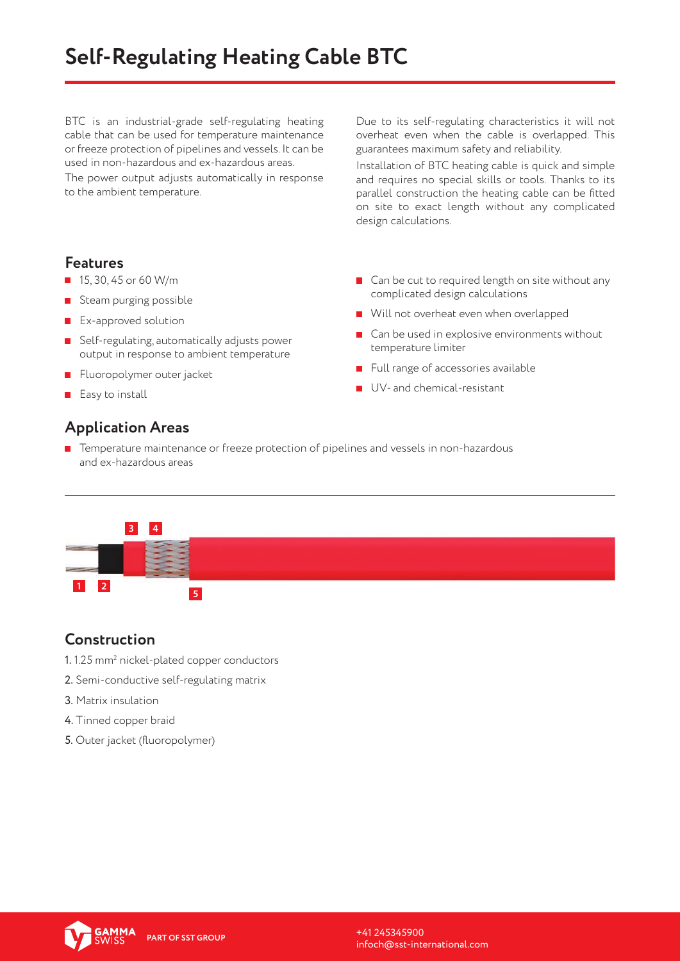# **Self-Regulating Heating Cable BTC**

BTC is an industrial-grade self-regulating heating cable that can be used for temperature maintenance or freeze protection of pipelines and vessels. It can be used in non-hazardous and ex-hazardous areas.

The power output adjusts automatically in response to the ambient temperature.

Due to its self-regulating characteristics it will not overheat even when the cable is overlapped. This guarantees maximum safety and reliability.

Installation of BTC heating cable is quick and simple and requires no special skills or tools. Thanks to its parallel construction the heating cable can be fitted on site to exact length without any complicated design calculations.

#### **Features**

- $15, 30, 45$  or 60 W/m
- Steam purging possible
- **EX-approved solution**
- Self-regulating, automatically adjusts power output in response to ambient temperature
- Fluoropolymer outer jacket
- $E$ asy to install

## ■ Can be cut to required length on site without any complicated design calculations

- **Will not overheat even when overlapped**
- Can be used in explosive environments without temperature limiter
- Full range of accessories available
- UV- and chemical-resistant

## **Application Areas**

Temperature maintenance or freeze protection of pipelines and vessels in non-hazardous and ex-hazardous areas



## **Construction**

- $1.1$ .25 mm $^{\rm 2}$  nickel-plated copper conductors
- 2. Semi-conductive self-regulating matrix
- 3. Matrix insulation
- 4. Tinned copper braid
- 5. Outer jacket (fluoropolymer)